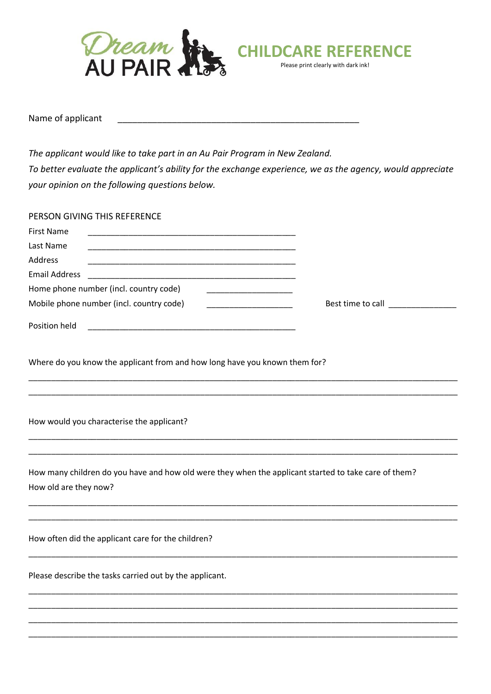

Name of applicant

The applicant would like to take part in an Au Pair Program in New Zealand. To better evaluate the applicant's ability for the exchange experience, we as the agency, would appreciate your opinion on the following questions below.

| PERSON GIVING THIS REFERENCE                                                                                                  |                                           |
|-------------------------------------------------------------------------------------------------------------------------------|-------------------------------------------|
| <b>First Name</b>                                                                                                             |                                           |
| Last Name                                                                                                                     |                                           |
| Address                                                                                                                       |                                           |
| <b>Email Address</b>                                                                                                          |                                           |
| Home phone number (incl. country code)                                                                                        |                                           |
| Mobile phone number (incl. country code)                                                                                      | Best time to call <b>Exercise Section</b> |
| Position held                                                                                                                 |                                           |
| Where do you know the applicant from and how long have you known them for?                                                    |                                           |
| How would you characterise the applicant?                                                                                     |                                           |
| How many children do you have and how old were they when the applicant started to take care of them?<br>How old are they now? |                                           |
| How often did the applicant care for the children?                                                                            |                                           |
| Please describe the tasks carried out by the applicant.                                                                       |                                           |
|                                                                                                                               |                                           |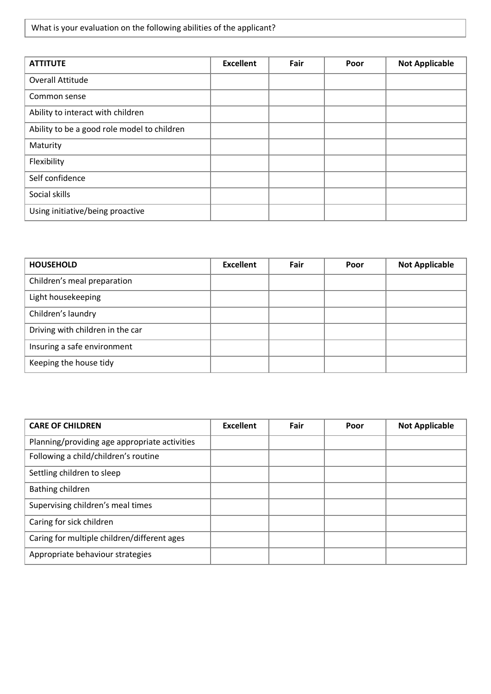What is your evaluation on the following abilities of the applicant?

| <b>ATTITUTE</b>                             | <b>Excellent</b> | Fair | Poor | <b>Not Applicable</b> |
|---------------------------------------------|------------------|------|------|-----------------------|
| <b>Overall Attitude</b>                     |                  |      |      |                       |
| Common sense                                |                  |      |      |                       |
| Ability to interact with children           |                  |      |      |                       |
| Ability to be a good role model to children |                  |      |      |                       |
| Maturity                                    |                  |      |      |                       |
| Flexibility                                 |                  |      |      |                       |
| Self confidence                             |                  |      |      |                       |
| Social skills                               |                  |      |      |                       |
| Using initiative/being proactive            |                  |      |      |                       |

| <b>HOUSEHOLD</b>                 | <b>Excellent</b> | Fair | Poor | <b>Not Applicable</b> |
|----------------------------------|------------------|------|------|-----------------------|
| Children's meal preparation      |                  |      |      |                       |
| Light housekeeping               |                  |      |      |                       |
| Children's laundry               |                  |      |      |                       |
| Driving with children in the car |                  |      |      |                       |
| Insuring a safe environment      |                  |      |      |                       |
| Keeping the house tidy           |                  |      |      |                       |

| <b>CARE OF CHILDREN</b>                       | <b>Excellent</b> | Fair | Poor | <b>Not Applicable</b> |
|-----------------------------------------------|------------------|------|------|-----------------------|
| Planning/providing age appropriate activities |                  |      |      |                       |
| Following a child/children's routine          |                  |      |      |                       |
| Settling children to sleep                    |                  |      |      |                       |
| Bathing children                              |                  |      |      |                       |
| Supervising children's meal times             |                  |      |      |                       |
| Caring for sick children                      |                  |      |      |                       |
| Caring for multiple children/different ages   |                  |      |      |                       |
| Appropriate behaviour strategies              |                  |      |      |                       |